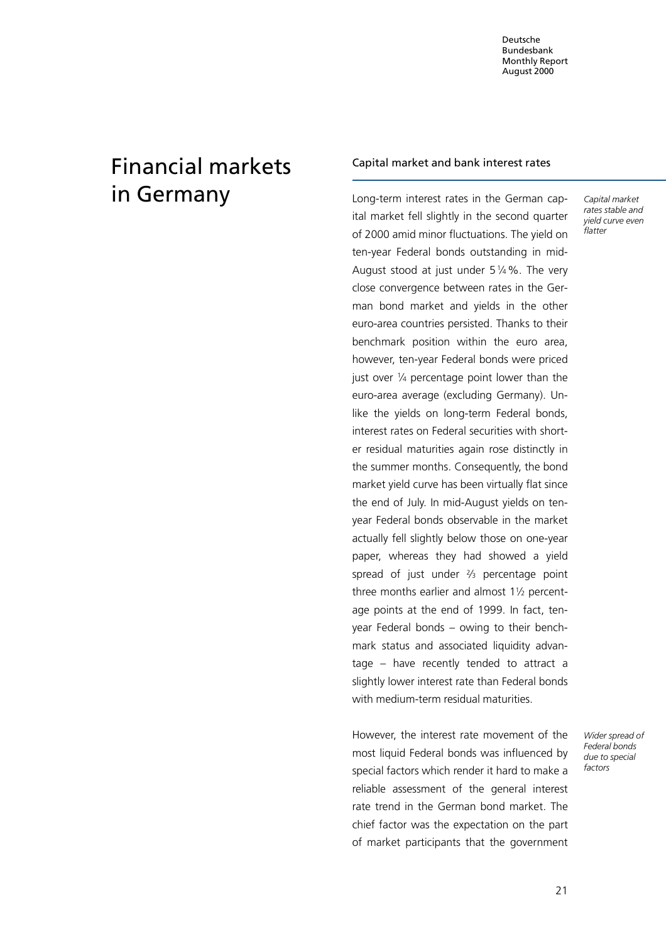Deutsche Bundesbank Monthly Report August 2000

# Financial markets in Germany

#### Capital market and bank interest rates

Long-term interest rates in the German capital market fell slightly in the second quarter of 2000 amid minor fluctuations. The yield on ten-year Federal bonds outstanding in mid-August stood at just under  $5\frac{1}{4}\%$ . The very close convergence between rates in the German bond market and yields in the other euro-area countries persisted. Thanks to their benchmark position within the euro area, however, ten-year Federal bonds were priced just over  $\frac{1}{4}$  percentage point lower than the euro-area average (excluding Germany). Unlike the yields on long-term Federal bonds, interest rates on Federal securities with shorter residual maturities again rose distinctly in the summer months. Consequently, the bond market yield curve has been virtually flat since the end of July. In mid-August yields on tenyear Federal bonds observable in the market actually fell slightly below those on one-year paper, whereas they had showed a yield spread of just under  $\frac{2}{3}$  percentage point three months earlier and almost  $1\frac{1}{2}$  percentage points at the end of 1999. In fact, tenyear Federal bonds  $-$  owing to their benchmark status and associated liquidity advantage  $-$  have recently tended to attract a slightly lower interest rate than Federal bonds with medium-term residual maturities.

However, the interest rate movement of the most liquid Federal bonds was influenced by special factors which render it hard to make a reliable assessment of the general interest rate trend in the German bond market. The chief factor was the expectation on the part of market participants that the government Capital market rates stable and yield curve even flatter

Wider spread of Federal bonds due to special factors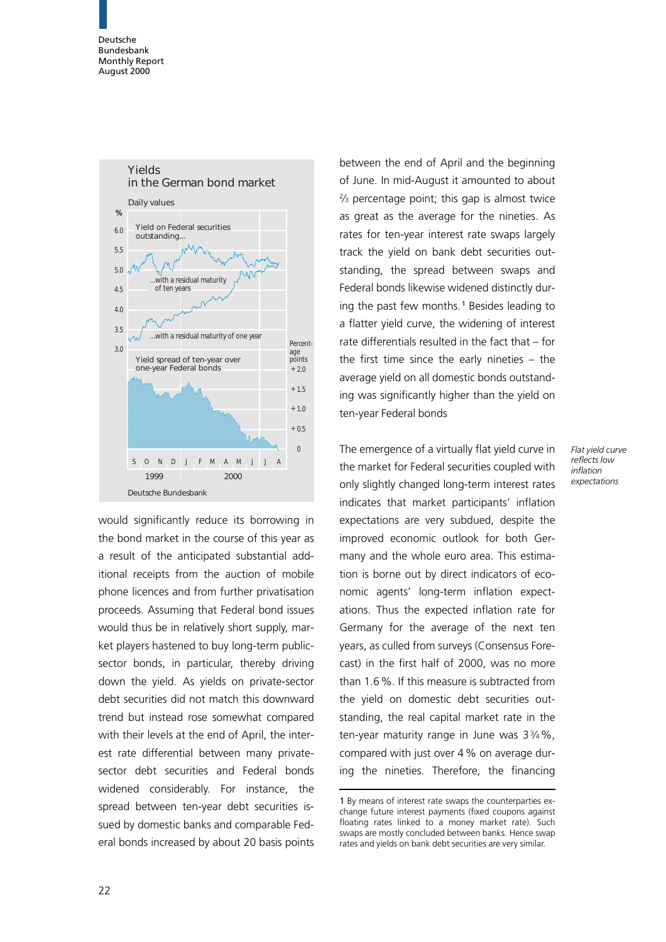

would significantly reduce its borrowing in the bond market in the course of this year as a result of the anticipated substantial additional receipts from the auction of mobile phone licences and from further privatisation proceeds. Assuming that Federal bond issues would thus be in relatively short supply, market players hastened to buy long-term publicsector bonds, in particular, thereby driving down the yield. As yields on private-sector debt securities did not match this downward trend but instead rose somewhat compared with their levels at the end of April, the interest rate differential between many privatesector debt securities and Federal bonds widened considerably. For instance, the spread between ten-year debt securities issued by domestic banks and comparable Federal bonds increased by about 20 basis points

between the end of April and the beginning of June. In mid-August it amounted to about 23 percentage point; this gap is almost twice as great as the average for the nineties. As rates for ten-year interest rate swaps largely track the yield on bank debt securities outstanding, the spread between swaps and Federal bonds likewise widened distinctly during the past few months.<sup>1</sup> Besides leading to a flatter yield curve, the widening of interest rate differentials resulted in the fact that  $-$  for the first time since the early nineties  $-$  the average yield on all domestic bonds outstanding was significantly higher than the yield on ten-year Federal bonds

> Flat yield curve reflects low inflation expectations

The emergence of a virtually flat yield curve in the market for Federal securities coupled with only slightly changed long-term interest rates indicates that market participants' inflation expectations are very subdued, despite the improved economic outlook for both Germany and the whole euro area. This estimation is borne out by direct indicators of economic agents' long-term inflation expectations. Thus the expected inflation rate for Germany for the average of the next ten years, as culled from surveys (Consensus Forecast) in the first half of 2000, was no more than 1.6%. If this measure is subtracted from the yield on domestic debt securities outstanding, the real capital market rate in the ten-year maturity range in June was  $3\frac{3}{4}\%$ , compared with just over 4% on average during the nineties. Therefore, the financing

22

<sup>1</sup> By means of interest rate swaps the counterparties exchange future interest payments (fixed coupons against floating rates linked to a money market rate). Such swaps are mostly concluded between banks. Hence swap rates and yields on bank debt securities are very similar.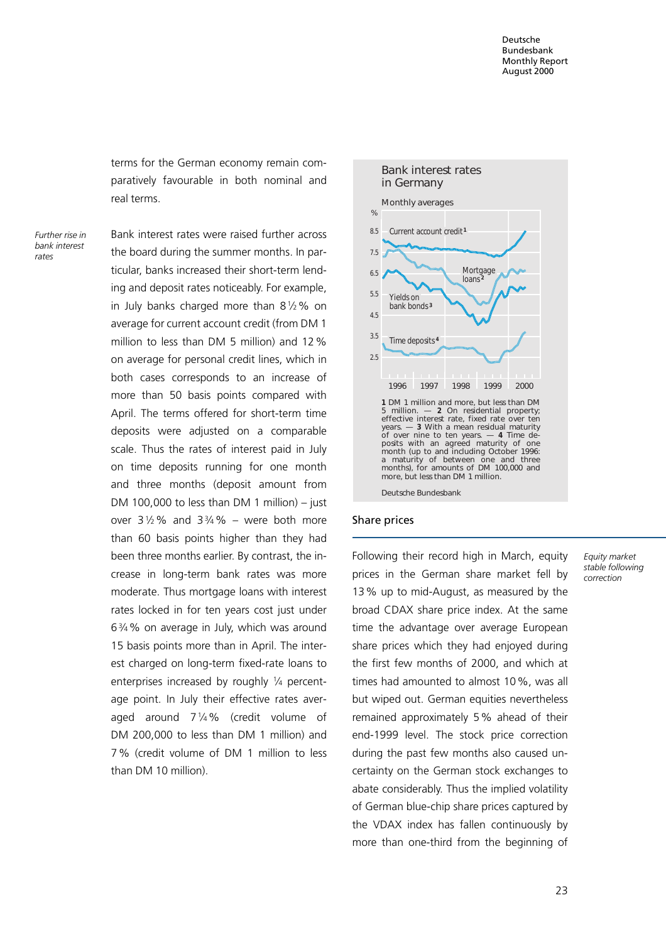terms for the German economy remain comparatively favourable in both nominal and real terms.

Further rise in bank interest rates

Bank interest rates were raised further across the board during the summer months. In particular, banks increased their short-term lending and deposit rates noticeably. For example, in July banks charged more than  $8\frac{1}{2}\%$  on average for current account credit (from DM 1 million to less than DM 5 million) and 12% on average for personal credit lines, which in both cases corresponds to an increase of more than 50 basis points compared with April. The terms offered for short-term time deposits were adjusted on a comparable scale. Thus the rates of interest paid in July on time deposits running for one month and three months (deposit amount from DM 100,000 to less than DM 1 million)  $-$  just over  $3\frac{1}{2}\%$  and  $3\frac{3}{4}\%$  – were both more than 60 basis points higher than they had been three months earlier. By contrast, the increase in long-term bank rates was more moderate. Thus mortgage loans with interest rates locked in for ten years cost just under 634% on average in July, which was around 15 basis points more than in April. The interest charged on long-term fixed-rate loans to enterprises increased by roughly 1/4 percentage point. In July their effective rates averaged around 714% (credit volume of DM 200,000 to less than DM 1 million) and 7% (credit volume of DM 1 million to less than DM 10 million).



#### Share prices

Following their record high in March, equity prices in the German share market fell by 13% up to mid-August, as measured by the broad CDAX share price index. At the same time the advantage over average European share prices which they had enjoyed during the first few months of 2000, and which at times had amounted to almost 10%, was all but wiped out. German equities nevertheless remained approximately 5% ahead of their end-1999 level. The stock price correction during the past few months also caused uncertainty on the German stock exchanges to abate considerably. Thus the implied volatility of German blue-chip share prices captured by the VDAX index has fallen continuously by more than one-third from the beginning of

Equity market stable following correction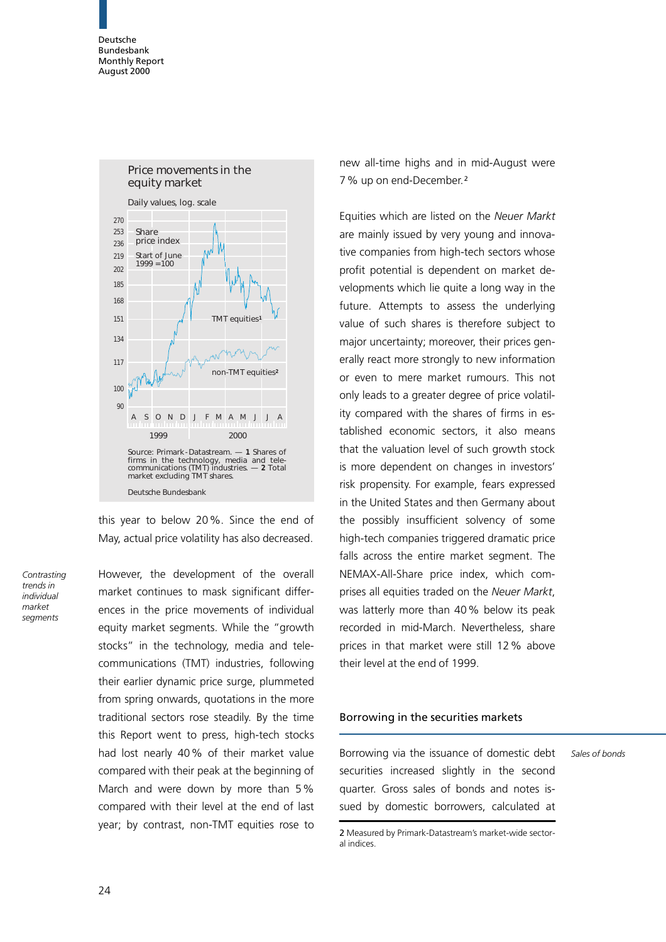Deutsche Bundesbank Monthly Report August 2000



this year to below 20%. Since the end of May, actual price volatility has also decreased.

**Contrasting** trends in individual market segments

However, the development of the overall market continues to mask significant differences in the price movements of individual equity market segments. While the "growth stocks" in the technology, media and telecommunications (TMT) industries, following their earlier dynamic price surge, plummeted from spring onwards, quotations in the more traditional sectors rose steadily. By the time this Report went to press, high-tech stocks had lost nearly 40% of their market value compared with their peak at the beginning of March and were down by more than 5% compared with their level at the end of last year; by contrast, non-TMT equities rose to

new all-time highs and in mid-August were 7% up on end-December.<sup>2</sup>

Equities which are listed on the Neuer Markt are mainly issued by very young and innovative companies from high-tech sectors whose profit potential is dependent on market developments which lie quite a long way in the future. Attempts to assess the underlying value of such shares is therefore subject to major uncertainty; moreover, their prices generally react more strongly to new information or even to mere market rumours. This not only leads to a greater degree of price volatility compared with the shares of firms in established economic sectors, it also means that the valuation level of such growth stock is more dependent on changes in investors' risk propensity. For example, fears expressed in the United States and then Germany about the possibly insufficient solvency of some high-tech companies triggered dramatic price falls across the entire market segment. The NEMAX-All-Share price index, which comprises all equities traded on the Neuer Markt, was latterly more than 40% below its peak recorded in mid-March. Nevertheless, share prices in that market were still 12% above their level at the end of 1999.

#### Borrowing in the securities markets

Borrowing via the issuance of domestic debt securities increased slightly in the second quarter. Gross sales of bonds and notes issued by domestic borrowers, calculated at

Sales of bonds

<sup>2</sup> Measured by Primark-Datastream's market-wide sectoral indices.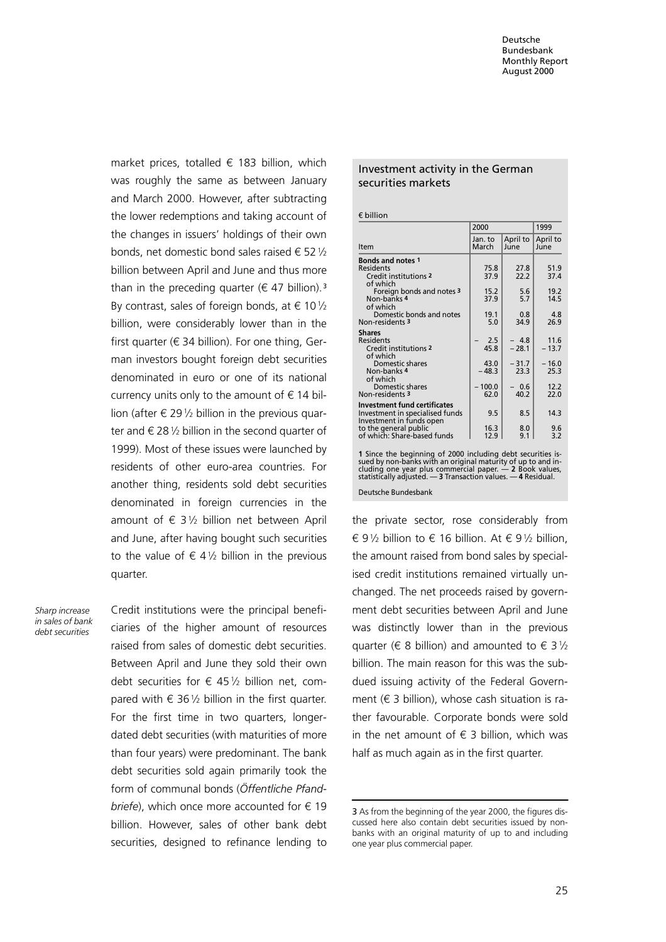market prices, totalled  $\epsilon$  183 billion, which was roughly the same as between January and March 2000. However, after subtracting the lower redemptions and taking account of the changes in issuers' holdings of their own bonds, net domestic bond sales raised  $\epsilon$  52  $1/2$ billion between April and June and thus more than in the preceding quarter ( $\epsilon$  47 billion).<sup>3</sup> By contrast, sales of foreign bonds, at  $\in$  10  $\frac{1}{2}$ billion, were considerably lower than in the first quarter ( $\in$  34 billion). For one thing, German investors bought foreign debt securities denominated in euro or one of its national currency units only to the amount of  $\epsilon$  14 billion (after  $\epsilon$  29  $\frac{1}{2}$  billion in the previous quarter and  $\epsilon$  28  $\frac{1}{2}$  billion in the second quarter of 1999). Most of these issues were launched by residents of other euro-area countries. For another thing, residents sold debt securities denominated in foreign currencies in the amount of  $\in$  31/2 billion net between April and June, after having bought such securities to the value of  $\epsilon$  41/2 billion in the previous quarter.

Sharp increase in sales of bank debt securities

Credit institutions were the principal beneficiaries of the higher amount of resources raised from sales of domestic debt securities. Between April and June they sold their own debt securities for  $\epsilon$  45% billion net, compared with  $\epsilon$  361/2 billion in the first quarter. For the first time in two quarters, longerdated debt securities (with maturities of more than four years) were predominant. The bank debt securities sold again primarily took the form of communal bonds (Öffentliche Pfand*briefe*), which once more accounted for  $\epsilon$  19 billion. However, sales of other bank debt securities, designed to refinance lending to

#### Investment activity in the German securities markets

 $f$  billion

|                                                                                                                             | 2000             |                  | 1999             |
|-----------------------------------------------------------------------------------------------------------------------------|------------------|------------------|------------------|
| Item                                                                                                                        | Jan. to<br>March | April to<br>June | April to<br>June |
| <b>Bonds and notes 1</b>                                                                                                    |                  |                  |                  |
| <b>Residents</b>                                                                                                            | 75.8             | 27.8             | 51.9             |
| Credit institutions 2<br>of which                                                                                           | 37.9             | 22.2             | 37.4             |
| Foreign bonds and notes 3                                                                                                   | 15.2             | 5.6              | 19.2             |
| Non-banks 4                                                                                                                 | 37.9             | 5.7              | 14.5             |
| of which                                                                                                                    |                  |                  |                  |
| Domestic bonds and notes                                                                                                    | 19.1             | 0.8              | 4.8              |
| Non-residents 3                                                                                                             | 5.0              | 34.9             | 26.9             |
| <b>Shares</b>                                                                                                               |                  |                  |                  |
| <b>Residents</b><br><b>Credit institutions 2</b>                                                                            | 2.5<br>45.8      | - 4.8<br>$-28.1$ | 11.6<br>$-13.7$  |
| of which                                                                                                                    |                  |                  |                  |
| Domestic shares                                                                                                             | 43.0             | $-31.7$          | $-16.0$          |
| Non-banks 4                                                                                                                 | $-48.3$          | 23.3             | 25.3             |
| of which<br>Domestic shares                                                                                                 | 100.0            | 0.6              | 12.2             |
| Non-residents 3                                                                                                             | 62.0             | 40.2             | 22.0             |
| <b>Investment fund certificates</b>                                                                                         |                  |                  |                  |
| Investment in specialised funds                                                                                             | 9.5              | 8.5              | 14.3             |
| Investment in funds open                                                                                                    |                  |                  |                  |
| to the general public                                                                                                       | 16.3             | 8.0              | 9.6              |
| of which: Share-based funds                                                                                                 | 12.9             | 9.1              | 3.2              |
|                                                                                                                             |                  |                  |                  |
| 1 Since the beginning of 2000 including debt securities is-<br>sued by non-banks with an original maturity of up to and in- |                  |                  |                  |

sued by non-banks with an original maturity of up to and in-<br>cluding one year plus commercial paper. — 2 Book values,<br>statistically adjusted. — 3 Transaction values. — 4 Residual. Deutsche Bundesbank

the private sector, rose considerably from  $\epsilon$  91/2 billion to  $\epsilon$  16 billion. At  $\epsilon$  91/2 billion, the amount raised from bond sales by specialised credit institutions remained virtually unchanged. The net proceeds raised by government debt securities between April and June was distinctly lower than in the previous quarter ( $\in$  8 billion) and amounted to  $\in$  3 1/2 billion. The main reason for this was the subdued issuing activity of the Federal Government  $(\epsilon$  3 billion), whose cash situation is rather favourable. Corporate bonds were sold in the net amount of  $\epsilon$  3 billion, which was half as much again as in the first quarter.

<sup>3</sup> As from the beginning of the year 2000, the figures discussed here also contain debt securities issued by nonbanks with an original maturity of up to and including one year plus commercial paper.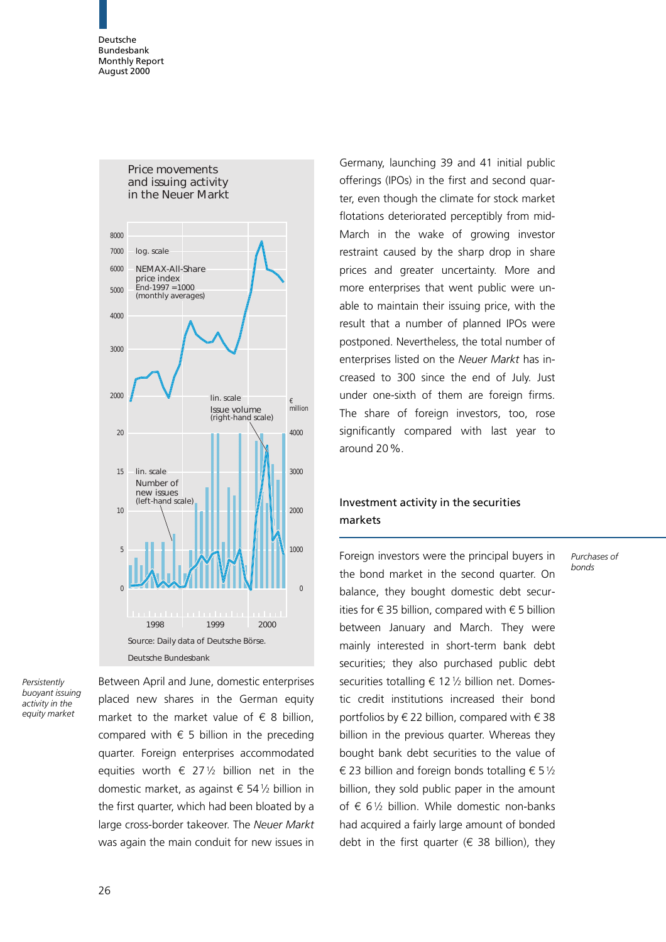Deutsche Bundesbank Monthly Report August 2000



Persistently buoyant issuing activity in the equity market

Between April and June, domestic enterprises placed new shares in the German equity market to the market value of  $\epsilon$  8 billion, compared with  $\epsilon$  5 billion in the preceding quarter. Foreign enterprises accommodated equities worth  $\epsilon$  271/2 billion net in the domestic market, as against  $\epsilon$  54 $1/2$  billion in the first quarter, which had been bloated by a large cross-border takeover. The Neuer Markt was again the main conduit for new issues in

Germany, launching 39 and 41 initial public offerings (IPOs) in the first and second quarter, even though the climate for stock market flotations deteriorated perceptibly from mid-March in the wake of growing investor restraint caused by the sharp drop in share prices and greater uncertainty. More and more enterprises that went public were unable to maintain their issuing price, with the result that a number of planned IPOs were postponed. Nevertheless, the total number of enterprises listed on the Neuer Markt has increased to 300 since the end of July. Just under one-sixth of them are foreign firms. The share of foreign investors, too, rose significantly compared with last year to around 20%.

### Investment activity in the securities markets

Purchases of bonds

Foreign investors were the principal buyers in the bond market in the second quarter. On balance, they bought domestic debt securities for  $\epsilon$  35 billion, compared with  $\epsilon$  5 billion between January and March. They were mainly interested in short-term bank debt securities; they also purchased public debt securities totalling  $\epsilon$  12 % billion net. Domestic credit institutions increased their bond portfolios by  $\xi$  22 billion, compared with  $\xi$  38 billion in the previous quarter. Whereas they bought bank debt securities to the value of  $\epsilon$  23 billion and foreign bonds totalling  $\epsilon$  5  $\frac{1}{2}$ billion, they sold public paper in the amount of  $\epsilon$  61/<sub>2</sub> billion. While domestic non-banks had acquired a fairly large amount of bonded debt in the first quarter ( $\epsilon$  38 billion), they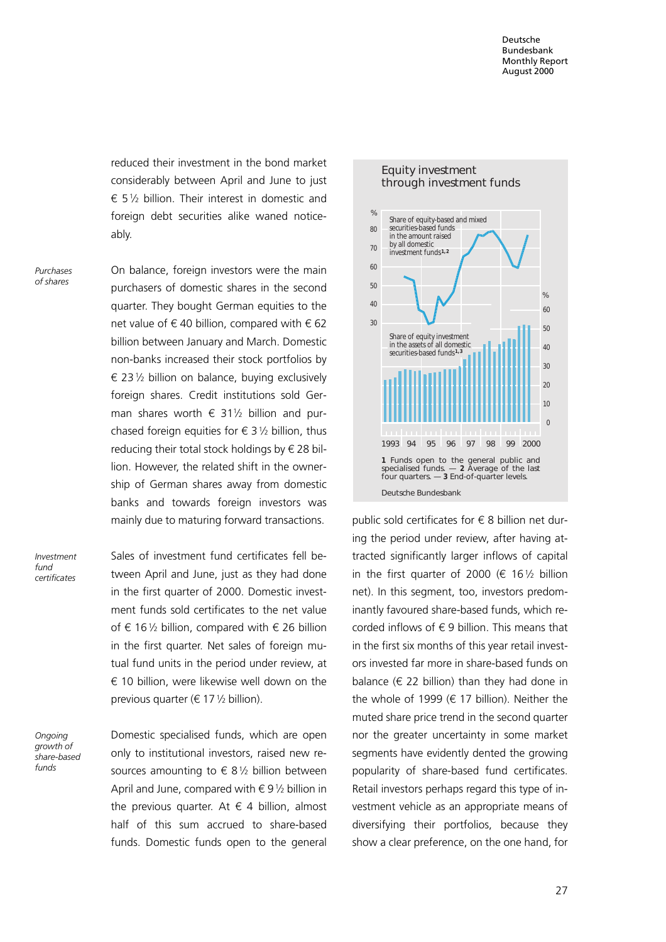reduced their investment in the bond market considerably between April and June to just  $65\%$  billion. Their interest in domestic and foreign debt securities alike waned noticeably.

Purchases of shares

On balance, foreign investors were the main purchasers of domestic shares in the second quarter. They bought German equities to the net value of  $\epsilon$  40 billion, compared with  $\epsilon$  62 billion between January and March. Domestic non-banks increased their stock portfolios by  $\epsilon$  23 1/2 billion on balance, buying exclusively foreign shares. Credit institutions sold German shares worth  $\epsilon$  311/2 billion and purchased foreign equities for  $\epsilon$  3 1/2 billion, thus reducing their total stock holdings by  $\epsilon$  28 billion. However, the related shift in the ownership of German shares away from domestic banks and towards foreign investors was mainly due to maturing forward transactions.

Investment fund certificates Sales of investment fund certificates fell between April and June, just as they had done in the first quarter of 2000. Domestic investment funds sold certificates to the net value of  $\epsilon$  161/2 billion, compared with  $\epsilon$  26 billion in the first quarter. Net sales of foreign mutual fund units in the period under review, at  $\epsilon$  10 billion, were likewise well down on the previous quarter ( $\in$  17 $\frac{1}{2}$  billion).

Ongoing growth of share-based funds

Domestic specialised funds, which are open only to institutional investors, raised new resources amounting to  $\epsilon$  81/2 billion between April and June, compared with  $\epsilon$  91/2 billion in the previous quarter. At  $\epsilon$  4 billion, almost half of this sum accrued to share-based funds. Domestic funds open to the general



public sold certificates for  $\epsilon$  8 billion net during the period under review, after having attracted significantly larger inflows of capital in the first quarter of 2000 ( $\epsilon$  161/2 billion net). In this segment, too, investors predominantly favoured share-based funds, which recorded inflows of  $\epsilon$  9 billion. This means that in the first six months of this year retail investors invested far more in share-based funds on balance ( $\epsilon$  22 billion) than they had done in the whole of 1999 ( $\epsilon$  17 billion). Neither the muted share price trend in the second quarter nor the greater uncertainty in some market segments have evidently dented the growing popularity of share-based fund certificates. Retail investors perhaps regard this type of investment vehicle as an appropriate means of diversifying their portfolios, because they show a clear preference, on the one hand, for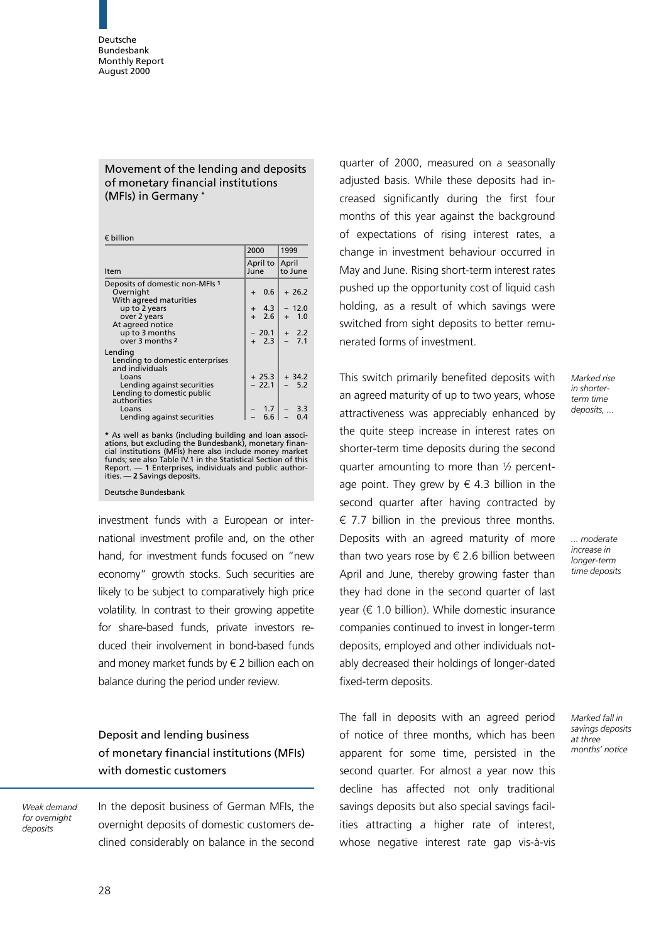#### Movement of the lending and deposits of monetary financial institutions (MFIs) in Germany \*

 $f$  hillion

|                                                                                                                                    | 2000                                      | 1999                  |
|------------------------------------------------------------------------------------------------------------------------------------|-------------------------------------------|-----------------------|
| Item                                                                                                                               | April to<br>June                          | April<br>to June      |
| Deposits of domestic non-MFIs 1<br>Overnight<br>With agreed maturities                                                             | 0.6<br>$\ddot{}$                          | $+26.2$               |
| up to 2 years<br>over 2 years<br>At agreed notice                                                                                  | 4.3<br>$+$<br>2.6<br>$+$                  | $-12.0$<br>1.0<br>$+$ |
| up to 3 months<br>over 3 months 2                                                                                                  | $-20.1$<br>$+2.3$                         | 2.2<br>$+$<br>$-7.1$  |
| Lending<br>Lending to domestic enterprises<br>and individuals<br>Loans<br>Lending against securities<br>Lending to domestic public | $+25.3$<br>$-22.1$                        | $+34.2$<br>5.2        |
| authorities<br>Loans<br>Lending against securities                                                                                 | $\begin{array}{c} 1.7 \\ 6.6 \end{array}$ | $-3.3$                |

\* As well as banks (including building and loan associations, but excluding the Bundesbank), monetary finan-cial institutions (MFIs) here also include money market funds; see also Table IV.1 in the Statistical Section of this Report. — 1 Enterprises, individuals and public authorities. - 2 Savings deposits.

Deutsche Bundesbank

investment funds with a European or international investment profile and, on the other hand, for investment funds focused on "new economy" growth stocks. Such securities are likely to be subject to comparatively high price volatility. In contrast to their growing appetite for share-based funds, private investors reduced their involvement in bond-based funds and money market funds by  $\epsilon$  2 billion each on balance during the period under review.

## Deposit and lending business of monetary financial institutions (MFIs) with domestic customers

Weak demand for overnight deposits

In the deposit business of German MFIs, the overnight deposits of domestic customers declined considerably on balance in the second

quarter of 2000, measured on a seasonally adjusted basis. While these deposits had increased significantly during the first four months of this year against the background of expectations of rising interest rates, a change in investment behaviour occurred in May and June. Rising short-term interest rates pushed up the opportunity cost of liquid cash holding, as a result of which savings were switched from sight deposits to better remunerated forms of investment.

This switch primarily benefited deposits with an agreed maturity of up to two years, whose attractiveness was appreciably enhanced by the quite steep increase in interest rates on shorter-term time deposits during the second quarter amounting to more than  $\frac{1}{2}$  percentage point. They grew by  $\epsilon$  4.3 billion in the second quarter after having contracted by  $\epsilon$  7.7 billion in the previous three months. Deposits with an agreed maturity of more than two years rose by  $\xi$  2.6 billion between April and June, thereby growing faster than they had done in the second quarter of last year ( $\epsilon$  1.0 billion). While domestic insurance companies continued to invest in longer-term deposits, employed and other individuals notably decreased their holdings of longer-dated fixed-term deposits.

The fall in deposits with an agreed period of notice of three months, which has been apparent for some time, persisted in the second quarter. For almost a year now this decline has affected not only traditional savings deposits but also special savings facilities attracting a higher rate of interest, whose negative interest rate gap vis-à-vis

Marked rise in shorterterm time deposits, ...

... moderate increase in longer-term time deposits

Marked fall in savings deposits at three months' notice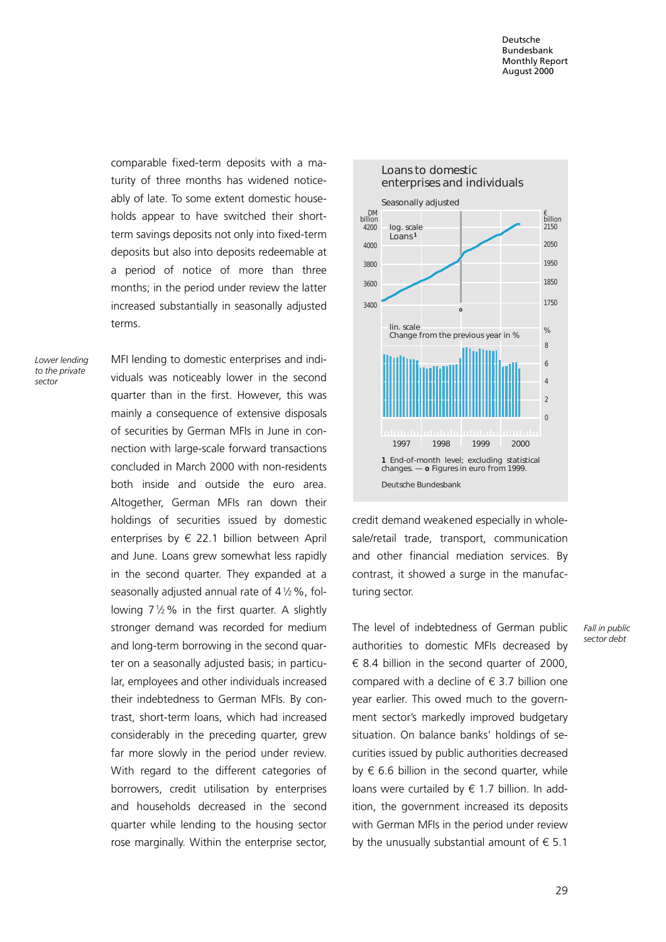comparable fixed-term deposits with a maturity of three months has widened noticeably of late. To some extent domestic households appear to have switched their shortterm savings deposits not only into fixed-term deposits but also into deposits redeemable at a period of notice of more than three months; in the period under review the latter increased substantially in seasonally adjusted terms.

Lower lending to the private sector

MFI lending to domestic enterprises and individuals was noticeably lower in the second quarter than in the first. However, this was mainly a consequence of extensive disposals of securities by German MFIs in June in connection with large-scale forward transactions concluded in March 2000 with non-residents both inside and outside the euro area. Altogether, German MFIs ran down their holdings of securities issued by domestic enterprises by  $\epsilon$  22.1 billion between April and June. Loans grew somewhat less rapidly in the second quarter. They expanded at a seasonally adjusted annual rate of  $4\frac{1}{2}\%$ , following  $7\frac{1}{2}\%$  in the first quarter. A slightly stronger demand was recorded for medium and long-term borrowing in the second quarter on a seasonally adjusted basis; in particular, employees and other individuals increased their indebtedness to German MFIs. By contrast, short-term loans, which had increased considerably in the preceding quarter, grew far more slowly in the period under review. With regard to the different categories of borrowers, credit utilisation by enterprises and households decreased in the second quarter while lending to the housing sector rose marginally. Within the enterprise sector,



credit demand weakened especially in wholesale/retail trade, transport, communication and other financial mediation services. By contrast, it showed a surge in the manufacturing sector.

The level of indebtedness of German public authorities to domestic MFIs decreased by  $\epsilon$  8.4 billion in the second quarter of 2000, compared with a decline of  $\epsilon$  3.7 billion one year earlier. This owed much to the government sector's markedly improved budgetary situation. On balance banks' holdings of securities issued by public authorities decreased by  $\epsilon$  6.6 billion in the second quarter, while loans were curtailed by  $\epsilon$  1.7 billion. In addition, the government increased its deposits with German MFIs in the period under review by the unusually substantial amount of  $\epsilon$  5.1

Fall in public sector debt